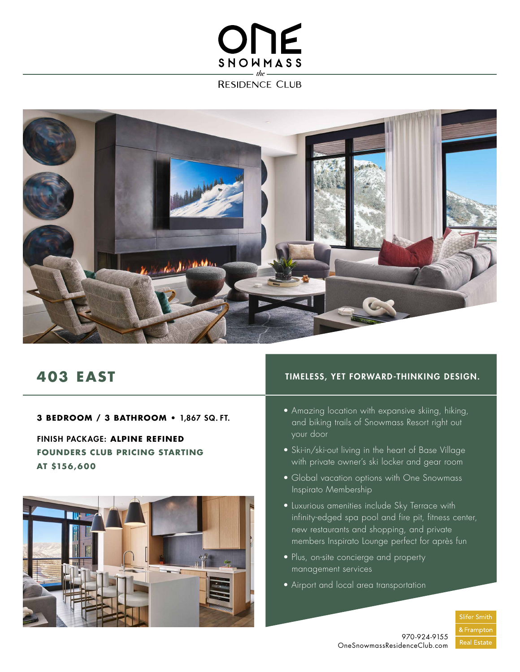## ONE SNOWMASS

**RESIDENCE CLUB** 



### **403 EAST**

**3 BEDROOM / 3 BATHROOM •** 1,867 SQ. FT.

FINISH PACKAGE: **ALPINE REFINED FOUNDERS CLUB PRICING STARTING AT \$156 ,60 0**



#### TIMELESS, YET FORWARD-THINKING DESIGN.

- Amazing location with expansive skiing, hiking, and biking trails of Snowmass Resort right out your door
- Ski-in/ski-out living in the heart of Base Village with private owner's ski locker and gear room
- Global vacation options with One Snowmass Inspirato Membership
- Luxurious amenities include Sky Terrace with infinity-edged spa pool and fire pit, fitness center, new restaurants and shopping, and private members Inspirato Lounge perfect for après fun
- Plus, on-site concierge and property management services
- Airport and local area transportation